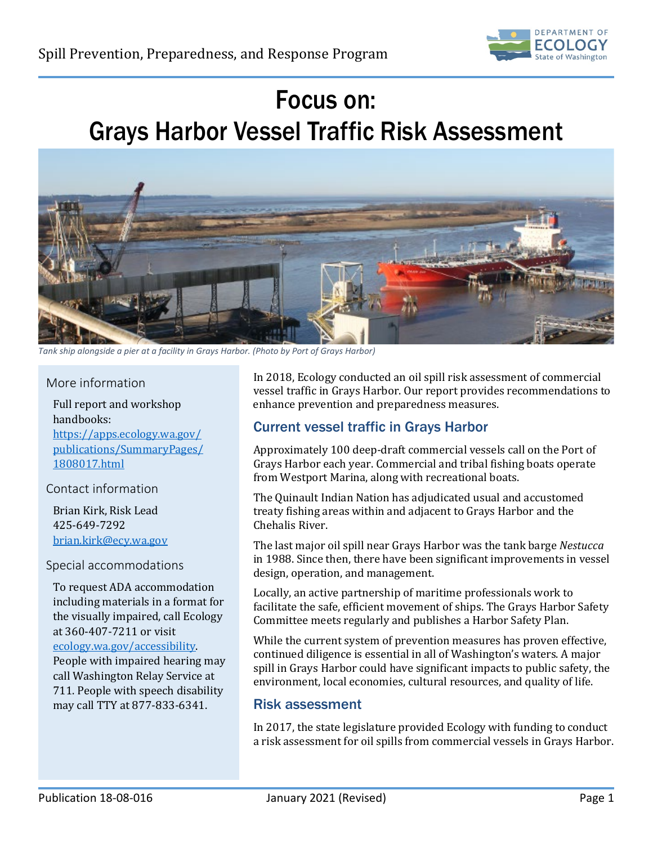

# Focus on: Grays Harbor Vessel Traffic Risk Assessment



*Tank ship alongside a pier at a facility in Grays Harbor. (Photo by Port of Grays Harbor)*

#### More information

Full report and workshop handbooks: [https://apps.ecology.wa.gov/](https://apps.ecology.wa.gov/%0bpublications/SummaryPages/%0b1808017.html) [publications/SummaryPages/](https://apps.ecology.wa.gov/%0bpublications/SummaryPages/%0b1808017.html) [1808017.html](https://apps.ecology.wa.gov/%0bpublications/SummaryPages/%0b1808017.html)

## Contact information

Brian Kirk, Risk Lead 425-649-7292 [brian.kirk@ecy.wa.gov](mailto:brian.kirk@ecy.wa.gov)

#### Special accommodations

To request ADA accommodation including materials in a format for the visually impaired, call Ecology at 360-407-7211 or visit [ecology.wa.gov/accessibility.](https://ecology.wa.gov/accessibility)  People with impaired hearing may call Washington Relay Service at 711. People with speech disability

may call TTY at 877-833-6341.

In 2018, Ecology conducted an oil spill risk assessment of commercial vessel traffic in Grays Harbor. Our report provides recommendations to enhance prevention and preparedness measures.

## Current vessel traffic in Grays Harbor

Approximately 100 deep-draft commercial vessels call on the Port of Grays Harbor each year. Commercial and tribal fishing boats operate from Westport Marina, along with recreational boats.

The Quinault Indian Nation has adjudicated usual and accustomed treaty fishing areas within and adjacent to Grays Harbor and the Chehalis River.

The last major oil spill near Grays Harbor was the tank barge *Nestucca* in 1988. Since then, there have been significant improvements in vessel design, operation, and management.

Locally, an active partnership of maritime professionals work to facilitate the safe, efficient movement of ships. The Grays Harbor Safety Committee meets regularly and publishes a Harbor Safety Plan.

While the current system of prevention measures has proven effective, continued diligence is essential in all of Washington's waters. A major spill in Grays Harbor could have significant impacts to public safety, the environment, local economies, cultural resources, and quality of life.

### Risk assessment

In 2017, the state legislature provided Ecology with funding to conduct a risk assessment for oil spills from commercial vessels in Grays Harbor.